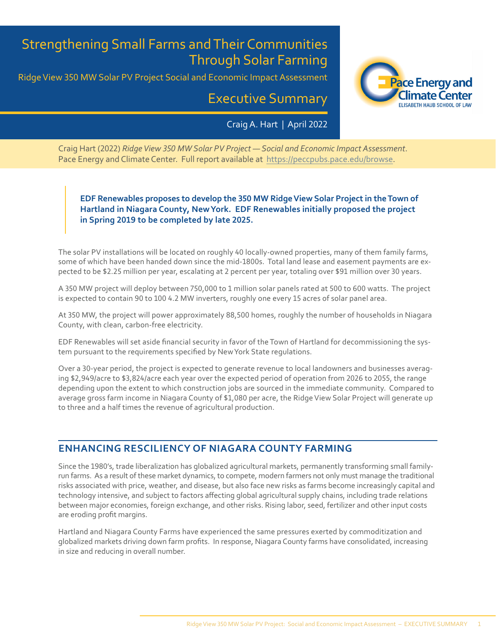# Strengthening Small Farms and Their Communities Through Solar Farming

Ridge View 350 MW Solar PV Project Social and Economic Impact Assessment

# Executive Summary

Craig A. Hart | April 2022



Craig Hart (2022) *Ridge View 350 MW Solar PV Project — Social and Economic Impact Assessment*. Pace Energy and Climate Center. Full report available at <https://peccpubs.pace.edu/browse>.

### **EDF Renewables proposes to develop the 350 MW Ridge View Solar Project in the Town of Hartland in Niagara County, New York. EDF Renewables initially proposed the project in Spring 2019 to be completed by late 2025.**

The solar PV installations will be located on roughly 40 locally-owned properties, many of them family farms, some of which have been handed down since the mid-1800s. Total land lease and easement payments are expected to be \$2.25 million per year, escalating at 2 percent per year, totaling over \$91 million over 30 years.

A 350 MW project will deploy between 750,000 to 1 million solar panels rated at 500 to 600 watts. The project is expected to contain 90 to 100 4.2 MW inverters, roughly one every 15 acres of solar panel area.

At 350 MW, the project will power approximately 88,500 homes, roughly the number of households in Niagara County, with clean, carbon-free electricity.

EDF Renewables will set aside financial security in favor of the Town of Hartland for decommissioning the system pursuant to the requirements specified by New York State regulations.

Over a 30-year period, the project is expected to generate revenue to local landowners and businesses averaging \$2,949/acre to \$3,824/acre each year over the expected period of operation from 2026 to 2055, the range depending upon the extent to which construction jobs are sourced in the immediate community. Compared to average gross farm income in Niagara County of \$1,080 per acre, the Ridge View Solar Project will generate up to three and a half times the revenue of agricultural production.

# **ENHANCING RESCILIENCY OF NIAGARA COUNTY FARMING**

Since the 1980's, trade liberalization has globalized agricultural markets, permanently transforming small familyrun farms. As a result of these market dynamics, to compete, modern farmers not only must manage the traditional risks associated with price, weather, and disease, but also face new risks as farms become increasingly capital and technology intensive, and subject to factors affecting global agricultural supply chains, including trade relations between major economies, foreign exchange, and other risks. Rising labor, seed, fertilizer and other input costs are eroding profit margins.

Hartland and Niagara County Farms have experienced the same pressures exerted by commoditization and globalized markets driving down farm profits. In response, Niagara County farms have consolidated, increasing in size and reducing in overall number.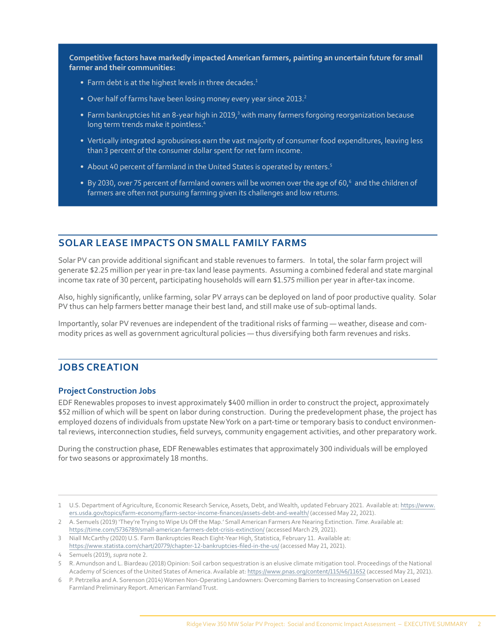**Competitive factors have markedly impacted American farmers, painting an uncertain future for small farmer and their communities:**

- Farm debt is at the highest levels in three decades.<sup>1</sup>
- Over half of farms have been losing money every year since 2013.<sup>2</sup>
- Farm bankruptcies hit an 8-year high in 2019,<sup>3</sup> with many farmers forgoing reorganization because long term trends make it pointless.<sup>4</sup>
- Vertically integrated agrobusiness earn the vast majority of consumer food expenditures, leaving less than 3 percent of the consumer dollar spent for net farm income.
- About 40 percent of farmland in the United States is operated by renters.<sup>5</sup>
- By 2030, over 75 percent of farmland owners will be women over the age of 60, $^6$  and the children of farmers are often not pursuing farming given its challenges and low returns.

## **SOLAR LEASE IMPACTS ON SMALL FAMILY FARMS**

Solar PV can provide additional significant and stable revenues to farmers. In total, the solar farm project will generate \$2.25 million per year in pre-tax land lease payments. Assuming a combined federal and state marginal income tax rate of 30 percent, participating households will earn \$1.575 million per year in after-tax income.

Also, highly significantly, unlike farming, solar PV arrays can be deployed on land of poor productive quality. Solar PV thus can help farmers better manage their best land, and still make use of sub-optimal lands.

Importantly, solar PV revenues are independent of the traditional risks of farming — weather, disease and commodity prices as well as government agricultural policies — thus diversifying both farm revenues and risks.

## **JOBS CREATION**

#### **Project Construction Jobs**

EDF Renewables proposes to invest approximately \$400 million in order to construct the project, approximately \$52 million of which will be spent on labor during construction. During the predevelopment phase, the project has employed dozens of individuals from upstate New York on a part-time or temporary basis to conduct environmental reviews, interconnection studies, field surveys, community engagement activities, and other preparatory work.

During the construction phase, EDF Renewables estimates that approximately 300 individuals will be employed for two seasons or approximately 18 months.

2 A. Semuels (2019) 'They're Trying to Wipe Us Off the Map.' Small American Farmers Are Nearing Extinction. *Time*. Available at: <https://time.com/5736789/small-american-farmers-debt-crisis-extinction/>(accessed March 29, 2021).

<sup>1</sup> U.S. Department of Agriculture, Economic Research Service, Assets, Debt, and Wealth, updated February 2021. Available at: [https://www.](https://www.ers.usda.gov/topics/farm-economy/farm-sector-income-finances/assets-debt-and-wealth/) [ers.usda.gov/topics/farm-economy/farm-sector-income-finances/assets-debt-and-wealth/](https://www.ers.usda.gov/topics/farm-economy/farm-sector-income-finances/assets-debt-and-wealth/) (accessed May 22, 2021).

<sup>3</sup> Niall McCarthy (2020) U.S. Farm Bankruptcies Reach Eight-Year High, Statistica, February 11. Available at: <https://www.statista.com/chart/20779/chapter-12-bankruptcies-filed-in-the-us/>(accessed May 21, 2021).

<sup>4</sup> Semuels (2019), *supra* note 2.

<sup>5</sup> R. Amundson and L. Biardeau (2018) Opinion: Soil carbon sequestration is an elusive climate mitigation tool. Proceedings of the National Academy of Sciences of the United States of America. Available at: <https://www.pnas.org/content/115/46/11652> (accessed May 21, 2021).

<sup>6</sup> P. Petrzelka and A. Sorenson (2014) Women Non-Operating Landowners: Overcoming Barriers to Increasing Conservation on Leased Farmland Preliminary Report. American Farmland Trust.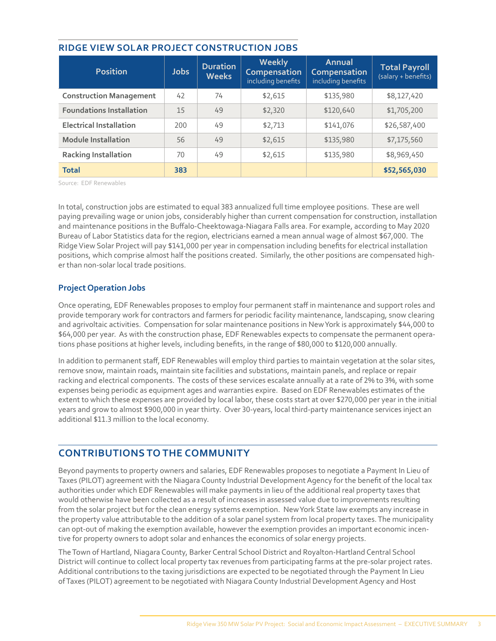| <b>Position</b>                 | <b>Jobs</b> | <b>Duration</b><br><b>Weeks</b> | <b>Weekly</b><br><b>Compensation</b><br>including benefits | Annual<br>Compensation<br>including benefits | <b>Total Payroll</b><br>(salary + benefits) |
|---------------------------------|-------------|---------------------------------|------------------------------------------------------------|----------------------------------------------|---------------------------------------------|
| <b>Construction Management</b>  | 42          | 74                              | \$2,615                                                    | \$135,980                                    | \$8,127,420                                 |
| <b>Foundations Installation</b> | 15          | 49                              | \$2,320                                                    | \$120,640                                    | \$1,705,200                                 |
| <b>Electrical Installation</b>  | 200         | 49                              | \$2,713                                                    | \$141,076                                    | \$26,587,400                                |
| <b>Module Installation</b>      | 56          | 49                              | \$2,615                                                    | \$135,980                                    | \$7,175,560                                 |
| <b>Racking Installation</b>     | 70          | 49                              | \$2,615                                                    | \$135,980                                    | \$8,969,450                                 |
| <b>Total</b>                    | 383         |                                 |                                                            |                                              | \$52,565,030                                |

#### **RIDGE VIEW SOLAR PROJECT CONSTRUCTION JOBS**

Source: EDF Renewables

In total, construction jobs are estimated to equal 383 annualized full time employee positions. These are well paying prevailing wage or union jobs, considerably higher than current compensation for construction, installation and maintenance positions in the Buffalo-Cheektowaga-Niagara Falls area. For example, according to May 2020 Bureau of Labor Statistics data for the region, electricians earned a mean annual wage of almost \$67,000. The Ridge View Solar Project will pay \$141,000 per year in compensation including benefits for electrical installation positions, which comprise almost half the positions created. Similarly, the other positions are compensated higher than non-solar local trade positions.

#### **Project Operation Jobs**

Once operating, EDF Renewables proposes to employ four permanent staff in maintenance and support roles and provide temporary work for contractors and farmers for periodic facility maintenance, landscaping, snow clearing and agrivoltaic activities. Compensation for solar maintenance positions in New York is approximately \$44,000 to \$64,000 per year. As with the construction phase, EDF Renewables expects to compensate the permanent operations phase positions at higher levels, including benefits, in the range of \$80,000 to \$120,000 annually.

In addition to permanent staff, EDF Renewables will employ third parties to maintain vegetation at the solar sites, remove snow, maintain roads, maintain site facilities and substations, maintain panels, and replace or repair racking and electrical components. The costs of these services escalate annually at a rate of 2% to 3%, with some expenses being periodic as equipment ages and warranties expire. Based on EDF Renewables estimates of the extent to which these expenses are provided by local labor, these costs start at over \$270,000 per year in the initial years and grow to almost \$900,000 in year thirty. Over 30-years, local third-party maintenance services inject an additional \$11.3 million to the local economy.

# **CONTRIBUTIONS TO THE COMMUNITY**

Beyond payments to property owners and salaries, EDF Renewables proposes to negotiate a Payment In Lieu of Taxes (PILOT) agreement with the Niagara County Industrial Development Agency for the benefit of the local tax authorities under which EDF Renewables will make payments in lieu of the additional real property taxes that would otherwise have been collected as a result of increases in assessed value due to improvements resulting from the solar project but for the clean energy systems exemption. New York State law exempts any increase in the property value attributable to the addition of a solar panel system from local property taxes. The municipality can opt-out of making the exemption available, however the exemption provides an important economic incentive for property owners to adopt solar and enhances the economics of solar energy projects.

The Town of Hartland, Niagara County, Barker Central School District and Royalton-Hartland Central School District will continue to collect local property tax revenues from participating farms at the pre-solar project rates. Additional contributions to the taxing jurisdictions are expected to be negotiated through the Payment In Lieu of Taxes (PILOT) agreement to be negotiated with Niagara County Industrial Development Agency and Host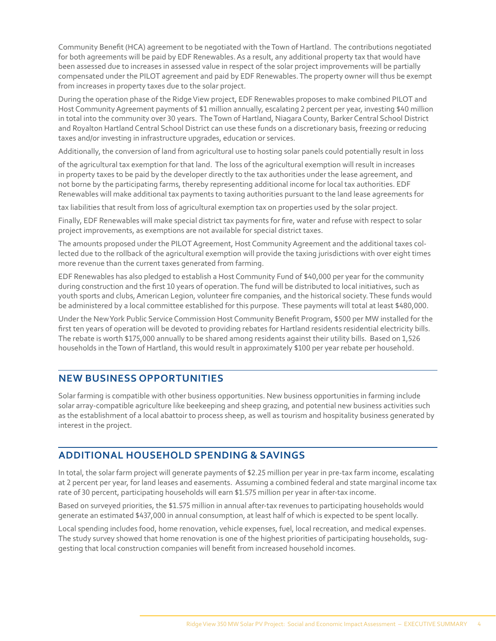Community Benefit (HCA) agreement to be negotiated with the Town of Hartland. The contributions negotiated for both agreements will be paid by EDF Renewables. As a result, any additional property tax that would have been assessed due to increases in assessed value in respect of the solar project improvements will be partially compensated under the PILOT agreement and paid by EDF Renewables. The property owner will thus be exempt from increases in property taxes due to the solar project.

During the operation phase of the Ridge View project, EDF Renewables proposes to make combined PILOT and Host Community Agreement payments of \$1 million annually, escalating 2 percent per year, investing \$40 million in total into the community over 30 years. The Town of Hartland, Niagara County, Barker Central School District and Royalton Hartland Central School District can use these funds on a discretionary basis, freezing or reducing taxes and/or investing in infrastructure upgrades, education or services.

Additionally, the conversion of land from agricultural use to hosting solar panels could potentially result in loss

of the agricultural tax exemption for that land. The loss of the agricultural exemption will result in increases in property taxes to be paid by the developer directly to the tax authorities under the lease agreement, and not borne by the participating farms, thereby representing additional income for local tax authorities. EDF Renewables will make additional tax payments to taxing authorities pursuant to the land lease agreements for

tax liabilities that result from loss of agricultural exemption tax on properties used by the solar project.

Finally, EDF Renewables will make special district tax payments for fire, water and refuse with respect to solar project improvements, as exemptions are not available for special district taxes.

The amounts proposed under the PILOT Agreement, Host Community Agreement and the additional taxes collected due to the rollback of the agricultural exemption will provide the taxing jurisdictions with over eight times more revenue than the current taxes generated from farming.

EDF Renewables has also pledged to establish a Host Community Fund of \$40,000 per year for the community during construction and the first 10 years of operation. The fund will be distributed to local initiatives, such as youth sports and clubs, American Legion, volunteer fire companies, and the historical society. These funds would be administered by a local committee established for this purpose. These payments will total at least \$480,000.

Under the New York Public Service Commission Host Community Benefit Program, \$500 per MW installed for the first ten years of operation will be devoted to providing rebates for Hartland residents residential electricity bills. The rebate is worth \$175,000 annually to be shared among residents against their utility bills. Based on 1,526 households in the Town of Hartland, this would result in approximately \$100 per year rebate per household.

### **NEW BUSINESS OPPORTUNITIES**

Solar farming is compatible with other business opportunities. New business opportunities in farming include solar array-compatible agriculture like beekeeping and sheep grazing, and potential new business activities such as the establishment of a local abattoir to process sheep, as well as tourism and hospitality business generated by interest in the project.

#### **ADDITIONAL HOUSEHOLD SPENDING & SAVINGS**

In total, the solar farm project will generate payments of \$2.25 million per year in pre-tax farm income, escalating at 2 percent per year, for land leases and easements. Assuming a combined federal and state marginal income tax rate of 30 percent, participating households will earn \$1.575 million per year in after-tax income.

Based on surveyed priorities, the \$1.575 million in annual after-tax revenues to participating households would generate an estimated \$437,000 in annual consumption, at least half of which is expected to be spent locally.

Local spending includes food, home renovation, vehicle expenses, fuel, local recreation, and medical expenses. The study survey showed that home renovation is one of the highest priorities of participating households, suggesting that local construction companies will benefit from increased household incomes.